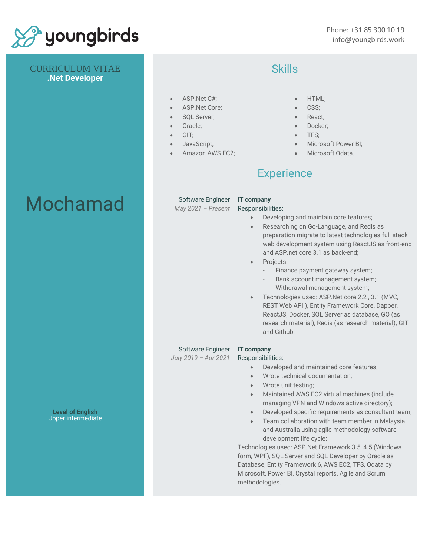

CURRICULUM VITAE **.Net Developer**

# Mochamad

**Level of English** Upper intermediate

### **Skills**

- ASP.Net C#;
- ASP.Net Core;
- SQL Server;
- Oracle;
- GIT;
	- JavaScript;
- Amazon AWS EC2;

- HTML;
- CSS;
- React;
- Docker:
- TFS;
- Microsoft Power BI;
- Microsoft Odata.

## **Experience**

Software Engineer **IT company**

*May 2021 – Present* Responsibilities:

- Developing and maintain core features;
- Researching on Go-Language, and Redis as preparation migrate to latest technologies full stack web development system using ReactJS as front-end and ASP.net core 3.1 as back-end;
- Projects:
	- Finance payment gateway system;
	- Bank account management system;
	- Withdrawal management system;
- Technologies used: ASP.Net core 2.2 , 3.1 (MVC, REST Web API ), Entity Framework Core, Dapper, ReactJS, Docker, SQL Server as database, GO (as research material), Redis (as research material), GIT and Github.

### Software Engineer **IT company**

*July 2019 – Apr 2021*

Responsibilities:

- Developed and maintained core features;
- Wrote technical documentation;
- Wrote unit testing;
- Maintained AWS EC2 virtual machines (include managing VPN and Windows active directory);
- Developed specific requirements as consultant team;
- Team collaboration with team member in Malaysia and Australia using agile methodology software development life cycle;

Technologies used: ASP.Net Framework 3.5, 4.5 (Windows form, WPF), SQL Server and SQL Developer by Oracle as Database, Entity Framework 6, AWS EC2, TFS, Odata by Microsoft, Power BI, Crystal reports, Agile and Scrum methodologies.